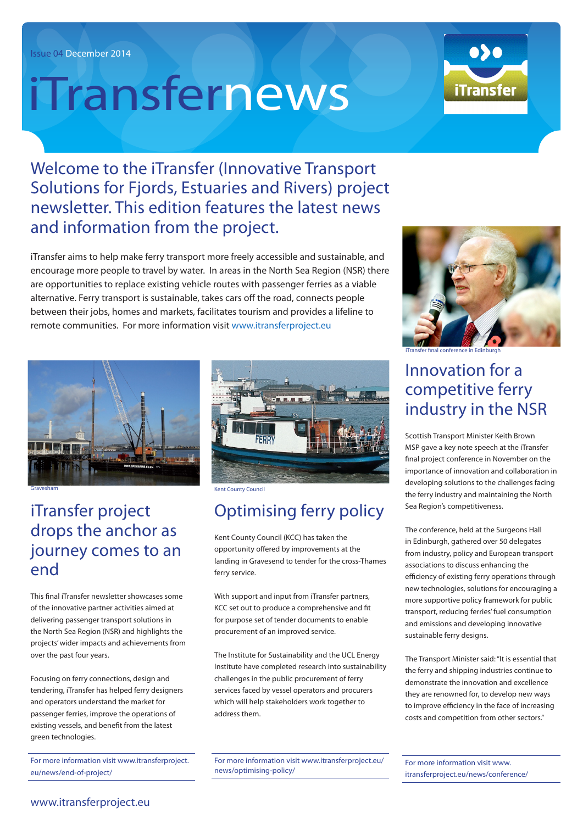# iTransfernews



Welcome to the iTransfer (Innovative Transport Solutions for Fjords, Estuaries and Rivers) project newsletter. This edition features the latest news and information from the project.

iTransfer aims to help make ferry transport more freely accessible and sustainable, and encourage more people to travel by water. In areas in the North Sea Region (NSR) there are opportunities to replace existing vehicle routes with passenger ferries as a viable alternative. Ferry transport is sustainable, takes cars off the road, connects people between their jobs, homes and markets, facilitates tourism and provides a lifeline to remote communities. For more information visit <www.itransferproject.eu>



### iTransfer project drops the anchor as journey comes to an end

This final iTransfer newsletter showcases some of the innovative partner activities aimed at delivering passenger transport solutions in the North Sea Region (NSR) and highlights the projects' wider impacts and achievements from over the past four years.

Focusing on ferry connections, design and tendering, iTransfer has helped ferry designers and operators understand the market for passenger ferries, improve the operations of existing vessels, and benefit from the latest green technologies.

For more information visit [www.itransferproject.](http://www.itransferproject.eu/news/end-of-project/) [eu/news/end-of-project/](http://www.itransferproject.eu/news/end-of-project/)



Kent County Council

## Optimising ferry policy

Kent County Council (KCC) has taken the opportunity offered by improvements at the landing in Gravesend to tender for the cross-Thames ferry service.

With support and input from iTransfer partners, KCC set out to produce a comprehensive and fit for purpose set of tender documents to enable procurement of an improved service.

The Institute for Sustainability and the UCL Energy Institute have completed research into sustainability challenges in the public procurement of ferry services faced by vessel operators and procurers which will help stakeholders work together to address them.

For more information visit [www.itransferproject.eu/](http://www.itransferproject.eu/news/optimising-policy/) [news/optimising-policy/](http://www.itransferproject.eu/news/optimising-policy/)



iTransfer final conference in Edinburgh

## Innovation for a competitive ferry industry in the NSR

Scottish Transport Minister Keith Brown MSP gave a key note speech at the iTransfer final project conference in November on the importance of innovation and collaboration in developing solutions to the challenges facing the ferry industry and maintaining the North Sea Region's competitiveness.

The conference, held at the Surgeons Hall in Edinburgh, gathered over 50 delegates from industry, policy and European transport associations to discuss enhancing the efficiency of existing ferry operations through new technologies, solutions for encouraging a more supportive policy framework for public transport, reducing ferries' fuel consumption and emissions and developing innovative sustainable ferry designs.

The Transport Minister said: "It is essential that the ferry and shipping industries continue to demonstrate the innovation and excellence they are renowned for, to develop new ways to improve efficiency in the face of increasing costs and competition from other sectors."

For more information visit [www.](http://www.itransferproject.eu/news/conference/) [itransferproject.eu/news/conference/](http://www.itransferproject.eu/news/conference/)